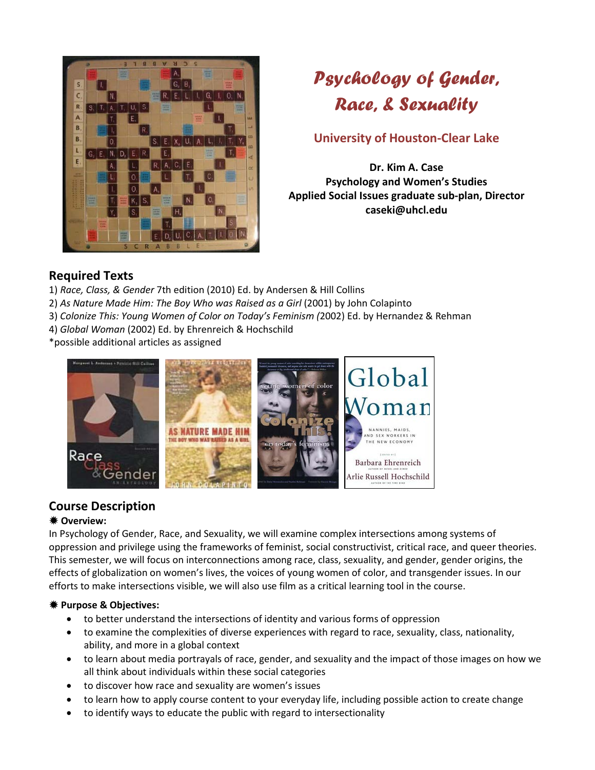

# *Psychology of Gender, Race, & Sexuality*

# **University of Houston-Clear Lake**

**Dr. Kim A. Case Psychology and Women's Studies Applied Social Issues graduate sub-plan, Director caseki@uhcl.edu**

# **Required Texts**

- 1) *Race, Class, & Gender* 7th edition (2010) Ed. by Andersen & Hill Collins
- 2) *As Nature Made Him: The Boy Who was Raised as a Girl* (2001) by John Colapinto
- 3) *Colonize This: Young Women of Color on Today's Feminism (*2002) Ed. by Hernandez & Rehman
- 4) *Global Woman* (2002) Ed. by Ehrenreich & Hochschild

\*possible additional articles as assigned



# **Course Description**

## **Overview:**

In Psychology of Gender, Race, and Sexuality, we will examine complex intersections among systems of oppression and privilege using the frameworks of feminist, social constructivist, critical race, and queer theories. This semester, we will focus on interconnections among race, class, sexuality, and gender, gender origins, the effects of globalization on women's lives, the voices of young women of color, and transgender issues. In our efforts to make intersections visible, we will also use film as a critical learning tool in the course.

## **Purpose & Objectives:**

- to better understand the intersections of identity and various forms of oppression
- to examine the complexities of diverse experiences with regard to race, sexuality, class, nationality, ability, and more in a global context
- to learn about media portrayals of race, gender, and sexuality and the impact of those images on how we all think about individuals within these social categories
- to discover how race and sexuality are women's issues
- to learn how to apply course content to your everyday life, including possible action to create change
- to identify ways to educate the public with regard to intersectionality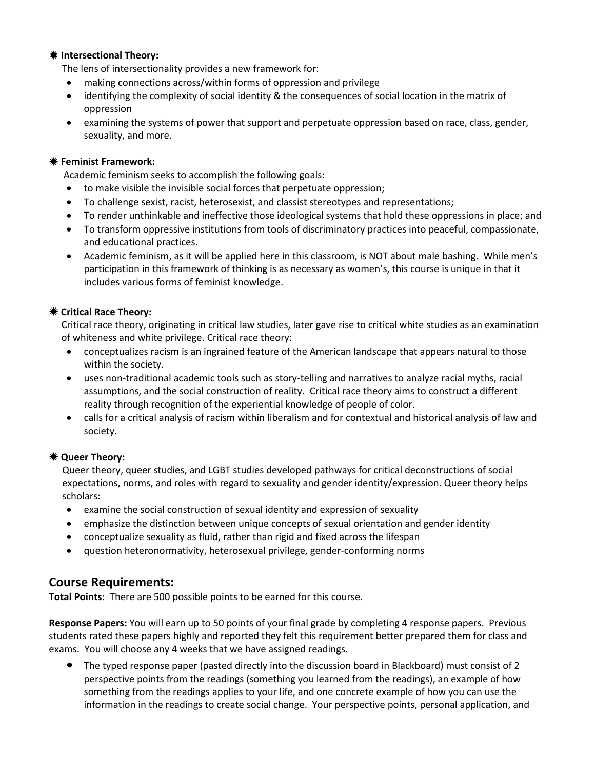#### **Intersectional Theory:**

The lens of intersectionality provides a new framework for:

- making connections across/within forms of oppression and privilege
- identifying the complexity of social identity & the consequences of social location in the matrix of oppression
- examining the systems of power that support and perpetuate oppression based on race, class, gender, sexuality, and more.

#### **Feminist Framework:**

Academic feminism seeks to accomplish the following goals:

- to make visible the invisible social forces that perpetuate oppression;
- To challenge sexist, racist, heterosexist, and classist stereotypes and representations;
- To render unthinkable and ineffective those ideological systems that hold these oppressions in place; and
- To transform oppressive institutions from tools of discriminatory practices into peaceful, compassionate, and educational practices.
- Academic feminism, as it will be applied here in this classroom, is NOT about male bashing. While men's participation in this framework of thinking is as necessary as women's, this course is unique in that it includes various forms of feminist knowledge.

#### **Critical Race Theory:**

Critical race theory, originating in critical law studies, later gave rise to critical white studies as an examination of whiteness and white privilege. Critical race theory:

- conceptualizes racism is an ingrained feature of the American landscape that appears natural to those within the society.
- uses non-traditional academic tools such as story-telling and narratives to analyze racial myths, racial assumptions, and the social construction of reality. Critical race theory aims to construct a different reality through recognition of the experiential knowledge of people of color.
- calls for a critical analysis of racism within liberalism and for contextual and historical analysis of law and society.

#### **Queer Theory:**

Queer theory, queer studies, and LGBT studies developed pathways for critical deconstructions of social expectations, norms, and roles with regard to sexuality and gender identity/expression. Queer theory helps scholars:

- examine the social construction of sexual identity and expression of sexuality
- emphasize the distinction between unique concepts of sexual orientation and gender identity
- conceptualize sexuality as fluid, rather than rigid and fixed across the lifespan
- question heteronormativity, heterosexual privilege, gender-conforming norms

## **Course Requirements:**

**Total Points:** There are 500 possible points to be earned for this course.

**Response Papers:** You will earn up to 50 points of your final grade by completing 4 response papers. Previous students rated these papers highly and reported they felt this requirement better prepared them for class and exams. You will choose any 4 weeks that we have assigned readings.

• The typed response paper (pasted directly into the discussion board in Blackboard) must consist of 2 perspective points from the readings (something you learned from the readings), an example of how something from the readings applies to your life, and one concrete example of how you can use the information in the readings to create social change. Your perspective points, personal application, and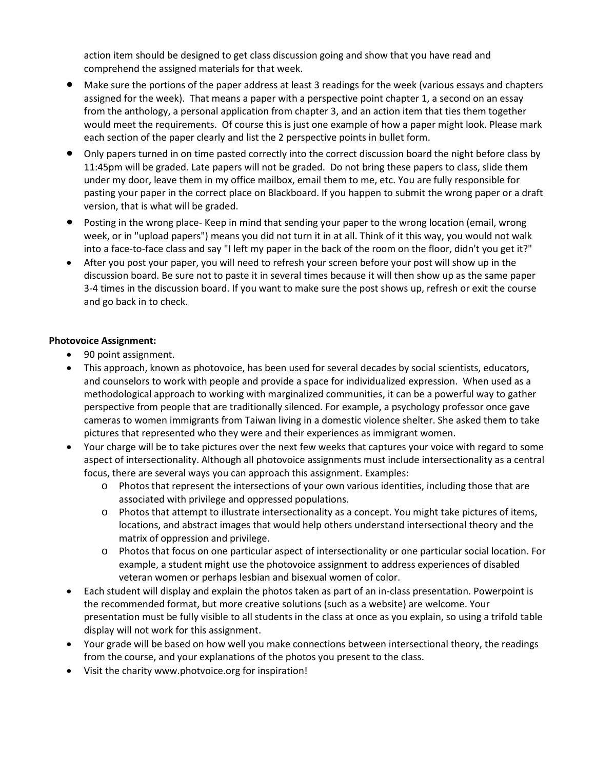action item should be designed to get class discussion going and show that you have read and comprehend the assigned materials for that week.

- Make sure the portions of the paper address at least 3 readings for the week (various essays and chapters assigned for the week). That means a paper with a perspective point chapter 1, a second on an essay from the anthology, a personal application from chapter 3, and an action item that ties them together would meet the requirements. Of course this is just one example of how a paper might look. Please mark each section of the paper clearly and list the 2 perspective points in bullet form.
- Only papers turned in on time pasted correctly into the correct discussion board the night before class by 11:45pm will be graded. Late papers will not be graded. Do not bring these papers to class, slide them under my door, leave them in my office mailbox, email them to me, etc. You are fully responsible for pasting your paper in the correct place on Blackboard. If you happen to submit the wrong paper or a draft version, that is what will be graded.
- Posting in the wrong place- Keep in mind that sending your paper to the wrong location (email, wrong week, or in "upload papers") means you did not turn it in at all. Think of it this way, you would not walk into a face-to-face class and say "I left my paper in the back of the room on the floor, didn't you get it?"
- After you post your paper, you will need to refresh your screen before your post will show up in the discussion board. Be sure not to paste it in several times because it will then show up as the same paper 3-4 times in the discussion board. If you want to make sure the post shows up, refresh or exit the course and go back in to check.

#### **Photovoice Assignment:**

- 90 point assignment.
- This approach, known as photovoice, has been used for several decades by social scientists, educators, and counselors to work with people and provide a space for individualized expression. When used as a methodological approach to working with marginalized communities, it can be a powerful way to gather perspective from people that are traditionally silenced. For example, a psychology professor once gave cameras to women immigrants from Taiwan living in a domestic violence shelter. She asked them to take pictures that represented who they were and their experiences as immigrant women.
- Your charge will be to take pictures over the next few weeks that captures your voice with regard to some aspect of intersectionality. Although all photovoice assignments must include intersectionality as a central focus, there are several ways you can approach this assignment. Examples:
	- o Photos that represent the intersections of your own various identities, including those that are associated with privilege and oppressed populations.
	- o Photos that attempt to illustrate intersectionality as a concept. You might take pictures of items, locations, and abstract images that would help others understand intersectional theory and the matrix of oppression and privilege.
	- o Photos that focus on one particular aspect of intersectionality or one particular social location. For example, a student might use the photovoice assignment to address experiences of disabled veteran women or perhaps lesbian and bisexual women of color.
- Each student will display and explain the photos taken as part of an in-class presentation. Powerpoint is the recommended format, but more creative solutions (such as a website) are welcome. Your presentation must be fully visible to all students in the class at once as you explain, so using a trifold table display will not work for this assignment.
- Your grade will be based on how well you make connections between intersectional theory, the readings from the course, and your explanations of the photos you present to the class.
- Visit the charity [www.photvoice.org](http://www.photvoice.org/) for inspiration!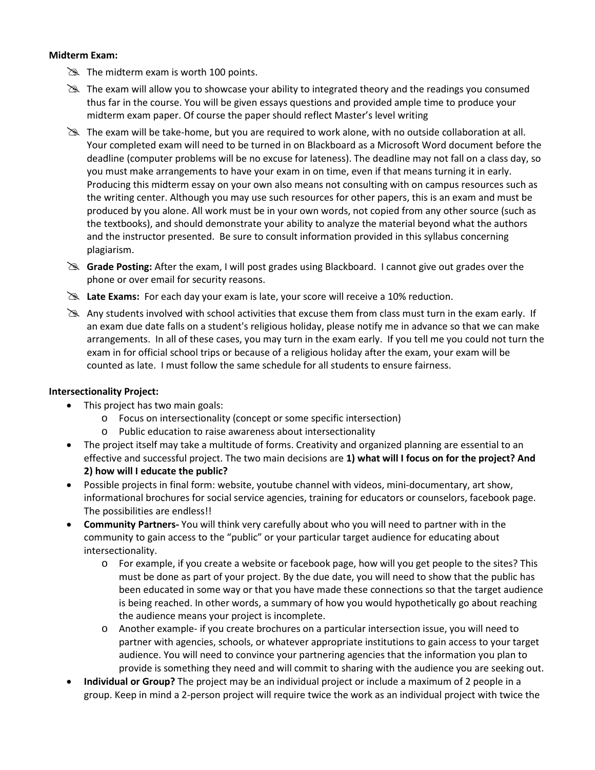#### **Midterm Exam:**

- $\gg$  The midterm exam is worth 100 points.
- $\geq$  The exam will allow you to showcase your ability to integrated theory and the readings you consumed thus far in the course. You will be given essays questions and provided ample time to produce your midterm exam paper. Of course the paper should reflect Master's level writing
- The exam will be take-home, but you are required to work alone, with no outside collaboration at all. Your completed exam will need to be turned in on Blackboard as a Microsoft Word document before the deadline (computer problems will be no excuse for lateness). The deadline may not fall on a class day, so you must make arrangements to have your exam in on time, even if that means turning it in early. Producing this midterm essay on your own also means not consulting with on campus resources such as the writing center. Although you may use such resources for other papers, this is an exam and must be produced by you alone. All work must be in your own words, not copied from any other source (such as the textbooks), and should demonstrate your ability to analyze the material beyond what the authors and the instructor presented. Be sure to consult information provided in this syllabus concerning plagiarism.
- **Grade Posting:** After the exam, I will post grades using Blackboard. I cannot give out grades over the phone or over email for security reasons.
- **Exams:** For each day your exam is late, your score will receive a 10% reduction.
- Any students involved with school activities that excuse them from class must turn in the exam early. If an exam due date falls on a student's religious holiday, please notify me in advance so that we can make arrangements. In all of these cases, you may turn in the exam early. If you tell me you could not turn the exam in for official school trips or because of a religious holiday after the exam, your exam will be counted as late. I must follow the same schedule for all students to ensure fairness.

#### **Intersectionality Project:**

- This project has two main goals:
	- o Focus on intersectionality (concept or some specific intersection)
	- o Public education to raise awareness about intersectionality
- The project itself may take a multitude of forms. Creativity and organized planning are essential to an effective and successful project. The two main decisions are **1) what will I focus on for the project? And 2) how will I educate the public?**
- Possible projects in final form: website, youtube channel with videos, mini-documentary, art show, informational brochures for social service agencies, training for educators or counselors, facebook page. The possibilities are endless!!
- **Community Partners-** You will think very carefully about who you will need to partner with in the community to gain access to the "public" or your particular target audience for educating about intersectionality.
	- o For example, if you create a website or facebook page, how will you get people to the sites? This must be done as part of your project. By the due date, you will need to show that the public has been educated in some way or that you have made these connections so that the target audience is being reached. In other words, a summary of how you would hypothetically go about reaching the audience means your project is incomplete.
	- o Another example- if you create brochures on a particular intersection issue, you will need to partner with agencies, schools, or whatever appropriate institutions to gain access to your target audience. You will need to convince your partnering agencies that the information you plan to provide is something they need and will commit to sharing with the audience you are seeking out.
- **Individual or Group?** The project may be an individual project or include a maximum of 2 people in a group. Keep in mind a 2-person project will require twice the work as an individual project with twice the